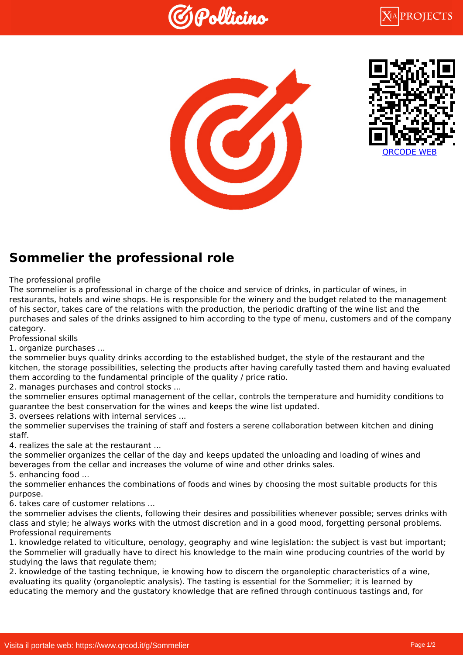





## **Sommelier the professional role**

The professional profile

The sommelier is a professional in charge of the choice and service of drinks, in particular of wines, in restaurants, hotels and wine shops. He is responsible for the winery and the budget related to the management of his sector, takes care of the relations with the production, the periodic drafting of the wine list and the purchases and sales of the drinks assigned to him according to the type of menu, customers and of the company category.

Professional skills

1. organize purchases ...

the sommelier buys quality drinks according to the established budget, the style of the restaurant and the kitchen, the storage possibilities, selecting the products after having carefully tasted them and having evaluated them according to the fundamental principle of the quality / price ratio.

2. manages purchases and control stocks ...

the sommelier ensures optimal management of the cellar, controls the temperature and humidity conditions to guarantee the best conservation for the wines and keeps the wine list updated.

3. oversees relations with internal services ...

the sommelier supervises the training of staff and fosters a serene collaboration between kitchen and dining staff.

4. realizes the sale at the restaurant ...

the sommelier organizes the cellar of the day and keeps updated the unloading and loading of wines and beverages from the cellar and increases the volume of wine and other drinks sales.

5. enhancing food ...

the sommelier enhances the combinations of foods and wines by choosing the most suitable products for this purpose.

6. takes care of customer relations ...

the sommelier advises the clients, following their desires and possibilities whenever possible; serves drinks with class and style; he always works with the utmost discretion and in a good mood, forgetting personal problems. Professional requirements

1. knowledge related to viticulture, oenology, geography and wine legislation: the subject is vast but important; the Sommelier will gradually have to direct his knowledge to the main wine producing countries of the world by studying the laws that regulate them;

2. knowledge of the tasting technique, ie knowing how to discern the organoleptic characteristics of a wine, evaluating its quality (organoleptic analysis). The tasting is essential for the Sommelier; it is learned by educating the memory and the gustatory knowledge that are refined through continuous tastings and, for